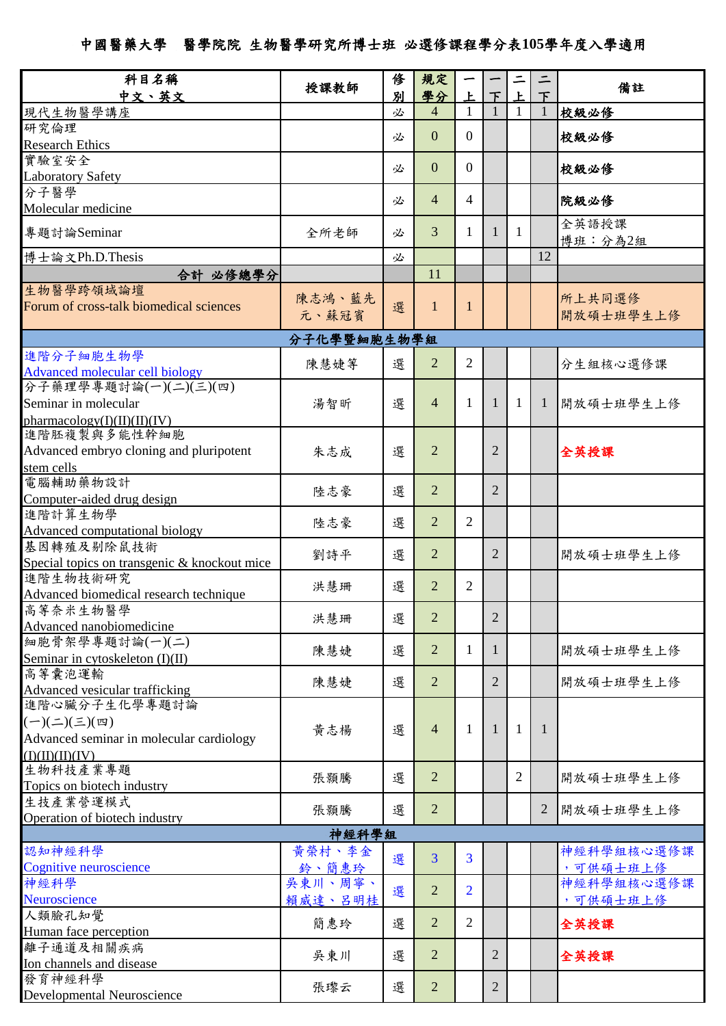## 中國醫藥大學 醫學院院生物醫學研究所博士班必選修課程學分表**105**學年度入學適用

| 科目名稱                                         |             | 俢 | 規定             |                |                |                |              |            |  |
|----------------------------------------------|-------------|---|----------------|----------------|----------------|----------------|--------------|------------|--|
| 中文、英文                                        | 授課教師        | 別 | 學分             | ŀ.             | 下              | Ł              | 下            | 備註         |  |
| 現代生物醫學講座                                     |             | 必 | $\overline{4}$ | 1              |                | 1              | 1            | 校級必修       |  |
| 研究倫理                                         |             |   |                |                |                |                |              |            |  |
| <b>Research Ethics</b>                       |             | 必 | $\overline{0}$ | $\overline{0}$ |                |                |              | 校級必修       |  |
| 實驗室安全                                        |             |   |                |                |                |                |              |            |  |
| <b>Laboratory Safety</b>                     |             | 必 | $\overline{0}$ | $\overline{0}$ |                |                |              | 校級必修       |  |
| 分子醫學                                         |             |   |                |                |                |                |              |            |  |
| Molecular medicine                           |             | 必 | $\overline{4}$ | 4              |                |                |              | 院級必修       |  |
|                                              |             |   |                |                |                |                |              | 全英語授課      |  |
| 專題討論Seminar                                  | 全所老師        | 必 | 3              | 1              | 1              | 1              |              | 博班:分為2組    |  |
| 博士論文Ph.D.Thesis                              |             | 必 |                |                |                |                | 12           |            |  |
| 合計 必修總學分                                     |             |   | 11             |                |                |                |              |            |  |
| 生物醫學跨領域論壇                                    |             |   |                |                |                |                |              |            |  |
| Forum of cross-talk biomedical sciences      | 陳志鴻、藍先      | 選 | 1              | 1              |                |                |              | 所上共同選修     |  |
|                                              | 元、蘇冠賓       |   |                |                |                |                |              | 開放碩士班學生上修  |  |
|                                              | 分子化學暨細胞生物學組 |   |                |                |                |                |              |            |  |
| 進階分子細胞生物學                                    |             |   |                |                |                |                |              |            |  |
| Advanced molecular cell biology              | 陳慧婕等        | 選 | 2              | $\overline{2}$ |                |                |              | 分生組核心選修課   |  |
| 分子藥理學專題討論(一)(二)(三)(四)                        |             |   |                |                |                |                |              |            |  |
| Seminar in molecular                         | 湯智昕         | 選 | $\overline{4}$ | 1              | 1              | 1              | -1           | 開放碩士班學生上修  |  |
| pharmacology(I)(II)(II)(IV)                  |             |   |                |                |                |                |              |            |  |
| 進階胚複製與多能性幹細胞                                 |             |   |                |                |                |                |              |            |  |
| Advanced embryo cloning and pluripotent      | 朱志成         | 選 | $\overline{2}$ |                | $\overline{2}$ |                |              | 全英授課       |  |
| stem cells                                   |             |   |                |                |                |                |              |            |  |
| 電腦輔助藥物設計                                     |             |   | $\overline{2}$ |                | $\overline{2}$ |                |              |            |  |
| Computer-aided drug design                   | 陸志豪         | 選 |                |                |                |                |              |            |  |
| 進階計算生物學                                      |             | 選 | $\overline{2}$ | 2              |                |                |              |            |  |
| Advanced computational biology               | 陸志豪         |   |                |                |                |                |              |            |  |
| 基因轉殖及剔除鼠技術                                   | 劉詩平         | 選 | $\overline{2}$ |                | 2              |                |              | 開放碩士班學生上修  |  |
| Special topics on transgenic & knockout mice |             |   |                |                |                |                |              |            |  |
| 進階生物技術研究                                     | 洪慧珊         | 選 | 2              | 2              |                |                |              |            |  |
| Advanced biomedical research technique       |             |   |                |                |                |                |              |            |  |
| 高等奈米生物醫學                                     | 洪慧珊         | 選 | 2              |                | 2              |                |              |            |  |
| Advanced nanobiomedicine                     |             |   |                |                |                |                |              |            |  |
| 細胞骨架學專題討論(一)(二)                              | 陳慧婕         | 選 | $\overline{2}$ | 1              | 1              |                |              | 開放碩士班學生上修  |  |
| Seminar in cytoskeleton (I)(II)              |             |   |                |                |                |                |              |            |  |
| 高等囊泡運輸<br>Advanced vesicular trafficking     | 陳慧婕         | 選 | $\overline{2}$ |                | $\overline{2}$ |                |              | 開放碩士班學生上修  |  |
| 進階心臟分子生化學專題討論                                |             |   |                |                |                |                |              |            |  |
| $(-)(\leq)(\leq)(\mathfrak{B})$              |             |   |                |                |                |                |              |            |  |
| Advanced seminar in molecular cardiology     | 黄志楊         | 選 | $\overline{4}$ | $\mathbf{1}$   | $\mathbf{1}$   | $\mathbf{1}$   | $\mathbf{1}$ |            |  |
| (I)(II)(II)(IV)                              |             |   |                |                |                |                |              |            |  |
| 生物科技產業專題                                     |             |   |                |                |                |                |              |            |  |
| Topics on biotech industry                   | 張顥騰         | 選 | $\overline{2}$ |                |                | $\overline{2}$ |              | 開放碩士班學生上修  |  |
| 生技產業營運模式                                     |             |   |                |                |                |                |              |            |  |
| Operation of biotech industry                | 張顥騰         | 選 | 2              |                |                |                | 2            | 開放碩士班學生上修  |  |
| 神經科學組                                        |             |   |                |                |                |                |              |            |  |
| 認知神經科學                                       | 黄榮村、李金      |   |                |                |                |                |              | 神經科學組核心選修課 |  |
| Cognitive neuroscience                       | 鈴、簡惠玲       | 選 | $\overline{3}$ | 3              |                |                |              | ,可供碩士班上修   |  |
| 神經科學                                         | 吳東川、周寧、     |   |                |                |                |                |              | 神經科學組核心選修課 |  |
| Neuroscience                                 | 賴威達、呂明桂     | 選 | $\overline{2}$ | $\overline{2}$ |                |                |              | ,可供碩士班上修   |  |
| 人類臉孔知覺                                       |             |   |                |                |                |                |              |            |  |
| Human face perception                        | 簡惠玲         | 選 | $\overline{2}$ | $\overline{2}$ |                |                |              | 全英授課       |  |
| 離子通道及相關疾病                                    |             |   | $\overline{2}$ |                | $\overline{2}$ |                |              |            |  |
| Ion channels and disease                     | 吳東川         | 選 |                |                |                |                |              | 全英授課       |  |
| 發育神經科學                                       | 張瓈云         | 選 | $\overline{2}$ |                | 2              |                |              |            |  |
| Developmental Neuroscience                   |             |   |                |                |                |                |              |            |  |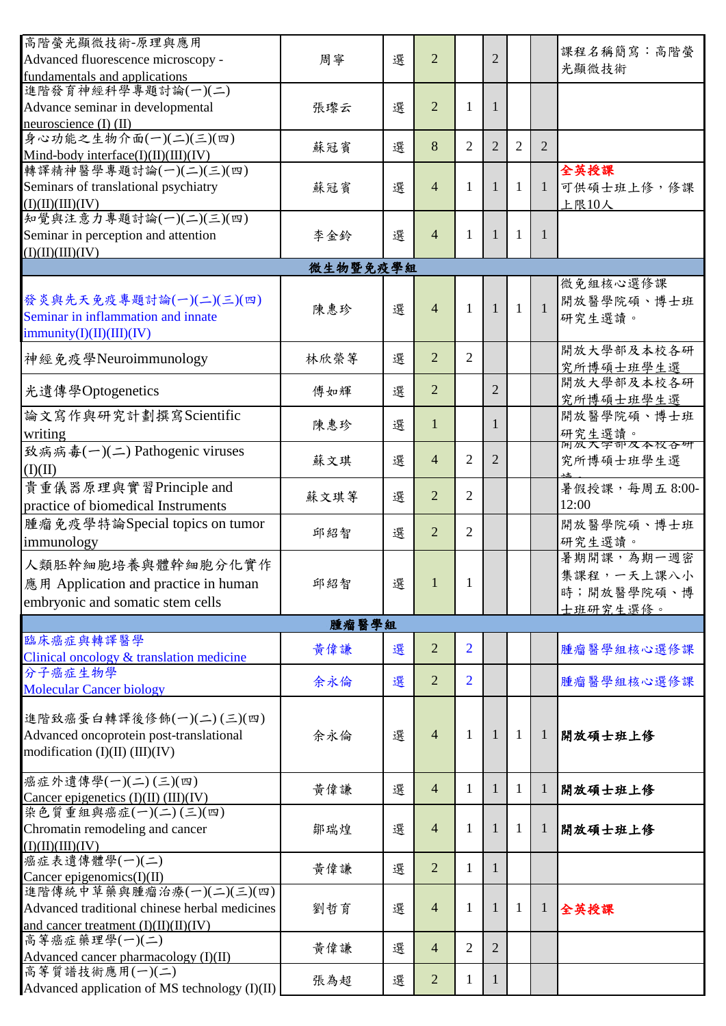| 高階螢光顯微技術-原理與應用                                      |       |   |                 |                |                |                |                |                      |  |  |
|-----------------------------------------------------|-------|---|-----------------|----------------|----------------|----------------|----------------|----------------------|--|--|
| Advanced fluorescence microscopy -                  | 周寧    | 選 | $\overline{2}$  |                | 2              |                |                | 課程名稱簡寫:高階螢<br>光顯微技術  |  |  |
| fundamentals and applications                       |       |   |                 |                |                |                |                |                      |  |  |
| 進階發育神經科學專題討論(一)(二)                                  |       |   |                 |                |                |                |                |                      |  |  |
| Advance seminar in developmental                    | 張瓈云   | 選 | $\overline{2}$  | 1              | 1              |                |                |                      |  |  |
| neuroscience $(I)$ $(II)$<br>身心功能之生物介面(一)(二)(三)(四)  |       |   |                 |                |                |                |                |                      |  |  |
| Mind-body interface( $I$ )( $II$ )( $III$ )( $IV$ ) | 蘇冠賓   | 選 | 8               | $\overline{2}$ | $\overline{2}$ | $\overline{2}$ | 2              |                      |  |  |
| 轉譯精神醫學專題討論(一)(二)(三)(四)                              |       |   |                 |                |                |                |                | 全英授課                 |  |  |
| Seminars of translational psychiatry                | 蘇冠賓   | 選 | $\overline{4}$  | 1              | 1              | 1              | 1              | 可供碩士班上修, 修課          |  |  |
| (I)(II)(III)(IV)                                    |       |   |                 |                |                |                |                | 上限10人                |  |  |
| 知覺與注意力專題討論(一)(二)(三)(四)                              |       |   |                 |                |                |                |                |                      |  |  |
| Seminar in perception and attention                 | 李金鈴   | 選 | $\overline{4}$  | 1              | 1              | 1              | 1              |                      |  |  |
| (I)(II)(III)(IV)                                    |       |   |                 |                |                |                |                |                      |  |  |
| 微生物暨免疫學組                                            |       |   |                 |                |                |                |                |                      |  |  |
|                                                     |       |   |                 |                |                |                |                | 微免組核心選修課             |  |  |
| 發炎與先天免疫專題討論(一)(二)(三)(四)                             |       |   |                 |                |                |                |                | 開放醫學院碩、博士班           |  |  |
| Seminar in inflammation and innate                  | 陳惠珍   | 選 | $\overline{4}$  | 1              | $\mathbf{1}$   | $\mathbf{1}$   | $\overline{1}$ | 研究生選讀。               |  |  |
| $\text{immunity}(I)(II)(III)(IV)$                   |       |   |                 |                |                |                |                |                      |  |  |
|                                                     |       |   |                 |                |                |                |                | 開放大學部及本校各研           |  |  |
| 神經免疫學Neuroimmunology                                | 林欣榮等  | 選 | $\overline{2}$  | $\overline{2}$ |                |                |                | 究所博碩士班學生選            |  |  |
|                                                     |       |   |                 |                |                |                |                | 開放大學部及本校各研           |  |  |
| 光遺傳學Optogenetics                                    | 傅如輝   | 選 | $\overline{2}$  |                | $\overline{2}$ |                |                | 究所博碩士班學生選            |  |  |
| 論文寫作與研究計劃撰寫Scientific                               |       |   |                 |                |                |                |                | 開放醫學院碩、博士班           |  |  |
| writing                                             | 陳惠珍   | 選 | 1               |                | 1              |                |                |                      |  |  |
| 致病病毒(一)(二) Pathogenic viruses                       |       |   |                 |                |                |                |                | 研究生選讀。<br>网双入字部及本校合研 |  |  |
| (I)(II)                                             | 蘇文琪   | 選 | $\overline{4}$  | $\overline{2}$ | $\overline{2}$ |                |                | 究所博碩士班學生選            |  |  |
|                                                     |       |   |                 |                |                |                |                |                      |  |  |
| 貴重儀器原理與實習Principle and                              | 蘇文琪等  | 選 | $\overline{2}$  | $\overline{2}$ |                |                |                | 暑假授課,每周五8:00-        |  |  |
| practice of biomedical Instruments                  |       |   |                 |                |                |                |                | 12:00                |  |  |
| 腫瘤免疫學特論Special topics on tumor                      | 邱紹智   | 選 | $\overline{2}$  | $\overline{2}$ |                |                |                | 開放醫學院碩、博士班           |  |  |
| immunology                                          |       |   |                 |                |                |                |                | 研究生選讀。               |  |  |
| 人類胚幹細胞培養與體幹細胞分化實作                                   |       |   |                 |                |                |                |                | 暑期開課,為期一週密           |  |  |
| 應用 Application and practice in human                | 邱紹智   | 選 | $\vert 1 \vert$ | 1              |                |                |                | 集課程,一天上課八小           |  |  |
|                                                     |       |   |                 |                |                |                |                | 時;開放醫學院碩、博           |  |  |
| embryonic and somatic stem cells                    |       |   |                 |                |                |                |                | 士班研究生選修。             |  |  |
|                                                     | 腫瘤醫學組 |   |                 |                |                |                |                |                      |  |  |
| 臨床癌症與轉譯醫學                                           | 黃偉謙   | 選 | $\overline{2}$  | $\overline{2}$ |                |                |                | 腫瘤醫學組核心選修課           |  |  |
| Clinical oncology & translation medicine            |       |   |                 |                |                |                |                |                      |  |  |
| 分子癌症生物學                                             | 余永倫   | 選 | $\overline{2}$  | $\overline{2}$ |                |                |                | 腫瘤醫學組核心選修課           |  |  |
| <b>Molecular Cancer biology</b>                     |       |   |                 |                |                |                |                |                      |  |  |
| 進階致癌蛋白轉譯後修飾(一)(二)(三)(四)                             |       |   |                 |                |                |                |                |                      |  |  |
| Advanced oncoprotein post-translational             |       | 選 | $\overline{4}$  | $\mathbf{1}$   | 1              | $\mathbf{1}$   | $\mathbf{1}$   | 開放碩士班上修              |  |  |
| modification $(I)(II)$ $(III)(IV)$                  | 余永倫   |   |                 |                |                |                |                |                      |  |  |
|                                                     |       |   |                 |                |                |                |                |                      |  |  |
| 癌症外遺傳學(一)(二)(三)(四)                                  |       |   |                 |                |                |                |                |                      |  |  |
| Cancer epigenetics $(I)(II)$ $(III)(IV)$            | 黃偉謙   | 選 | $\overline{4}$  | 1              | 1              | 1              | 1              | 開放碩士班上修              |  |  |
| 染色質重組與癌症(一)(二)(三)(四)                                |       |   |                 |                |                |                |                |                      |  |  |
| Chromatin remodeling and cancer                     | 鄒瑞煌   | 選 | $\overline{4}$  | $\mathbf{1}$   | 1              | 1              | 1              | 開放碩士班上修              |  |  |
| (I)(II)(III)(IV)                                    |       |   |                 |                |                |                |                |                      |  |  |
| 癌症表遺傳體學(一)(二)                                       |       |   | $\overline{2}$  |                |                |                |                |                      |  |  |
| Cancer epigenomics $(I)(II)$                        | 黃偉謙   | 選 |                 | $\mathbf{1}$   | 1              |                |                |                      |  |  |
| 進階傳統中草藥與腫瘤治療(一)(二)(三)(四)                            |       |   |                 |                |                |                |                |                      |  |  |
| Advanced traditional chinese herbal medicines       | 劉哲育   | 選 | 4               | 1              | 1              | 1              | $\mathbf{1}$   | 全英授課                 |  |  |
| and cancer treatment $(I)(II)(II)(IV)$              |       |   |                 |                |                |                |                |                      |  |  |
| 高等癌症藥理學(一)(二)                                       | 黃偉謙   | 選 | $\overline{4}$  | $\overline{2}$ | $\overline{2}$ |                |                |                      |  |  |
| Advanced cancer pharmacology $(I)(II)$              |       |   |                 |                |                |                |                |                      |  |  |
| 高等質譜技術應用(一)(二)                                      | 張為超   | 選 | $\overline{2}$  | 1              | 1              |                |                |                      |  |  |
| Advanced application of MS technology (I)(II)       |       |   |                 |                |                |                |                |                      |  |  |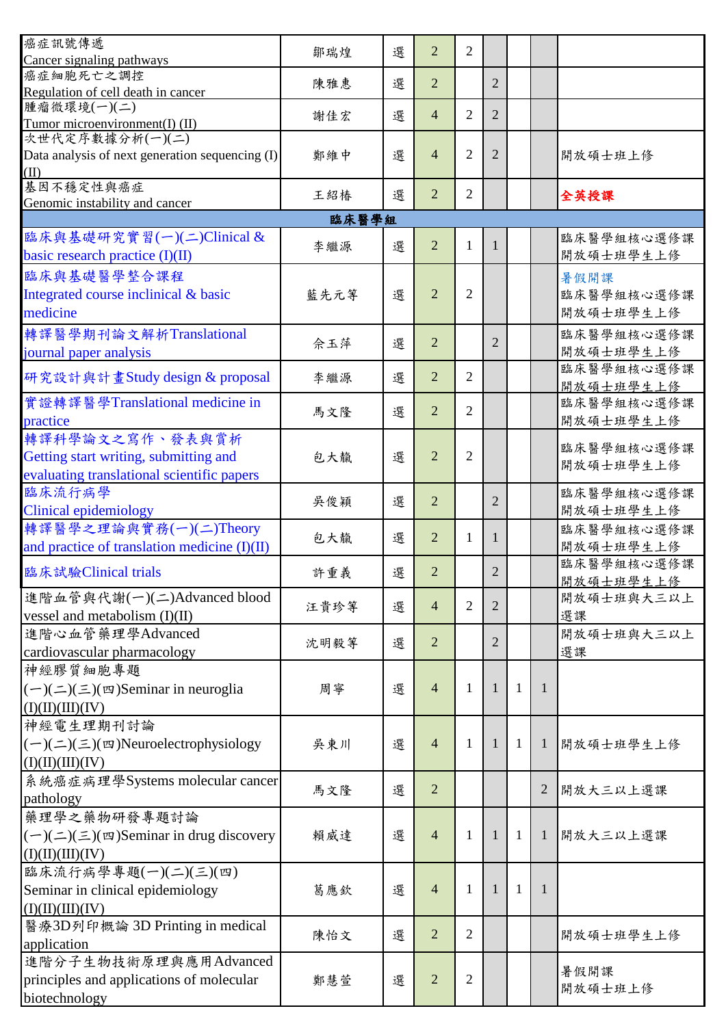| 癌症訊號傳遞<br>Cancer signaling pathways                     | 鄒瑞煌  | 選 | $\overline{2}$ | $\overline{2}$ |                |              |   |                         |  |
|---------------------------------------------------------|------|---|----------------|----------------|----------------|--------------|---|-------------------------|--|
| 癌症細胞死亡之調控                                               |      |   |                |                |                |              |   |                         |  |
| Regulation of cell death in cancer                      | 陳雅惠  | 選 | $\overline{2}$ |                | $\overline{2}$ |              |   |                         |  |
| 腫瘤微環境(一)(二)                                             | 謝佳宏  | 選 | 4              | $\overline{2}$ | $\overline{2}$ |              |   |                         |  |
| Tumor microenvironment(I) (II)                          |      |   |                |                |                |              |   |                         |  |
| 次世代定序數據分析(一)(二)                                         | 鄭維中  | 選 | $\overline{4}$ | $\overline{2}$ | 2              |              |   |                         |  |
| Data analysis of next generation sequencing (I)<br>(II) |      |   |                |                |                |              |   | 開放碩士班上修                 |  |
| 基因不穩定性與癌症                                               |      |   |                |                |                |              |   |                         |  |
| Genomic instability and cancer                          | 王紹椿  | 選 | $\overline{2}$ | $\overline{2}$ |                |              |   | 全英授課                    |  |
| 臨床醫學組                                                   |      |   |                |                |                |              |   |                         |  |
| 臨床與基礎研究實習(一)(二)Clinical &                               | 李繼源  | 選 | $\overline{2}$ | 1              | -1             |              |   | 臨床醫學組核心選修課              |  |
| basic research practice (I)(II)                         |      |   |                |                |                |              |   | 開放碩士班學生上修               |  |
| 臨床與基礎醫學整合課程                                             |      |   |                |                |                |              |   | 暑假開課                    |  |
| Integrated course inclinical & basic                    | 藍先元等 | 選 | $\overline{2}$ | $\overline{2}$ |                |              |   | 臨床醫學組核心選修課              |  |
| medicine                                                |      |   |                |                |                |              |   | 開放碩士班學生上修               |  |
| 轉譯醫學期刊論文解析Translational                                 |      |   |                |                |                |              |   | 臨床醫學組核心選修課              |  |
| journal paper analysis                                  | 佘玉萍  | 選 | $\overline{2}$ |                | $\overline{2}$ |              |   | 開放碩士班學生上修               |  |
| 研究設計與計畫Study design & proposal                          | 李繼源  | 選 | $\overline{2}$ | $\overline{2}$ |                |              |   | 臨床醫學組核心選修課              |  |
|                                                         |      |   |                |                |                |              |   | 開放碩士班學生上修               |  |
| 實證轉譯醫學Translational medicine in                         | 馬文隆  | 選 | $\overline{2}$ | $\overline{2}$ |                |              |   | 臨床醫學組核心選修課              |  |
| practice                                                |      |   |                |                |                |              |   | 開放碩士班學生上修               |  |
| 轉譯科學論文之寫作、發表與賞析                                         |      |   |                |                |                |              |   | 臨床醫學組核心選修課              |  |
| Getting start writing, submitting and                   | 包大靝  | 選 | $\overline{2}$ | $\overline{2}$ |                |              |   | 開放碩士班學生上修               |  |
| evaluating translational scientific papers              |      |   |                |                |                |              |   |                         |  |
| 臨床流行病學                                                  | 吳俊穎  | 選 | $\overline{2}$ |                | $\overline{2}$ |              |   | 臨床醫學組核心選修課              |  |
| <b>Clinical epidemiology</b>                            |      |   |                |                |                |              |   | 開放碩士班學生上修               |  |
| 轉譯醫學之理論與實務(一)(二)Theory                                  | 包大靝  | 選 | 2              | 1              | 1              |              |   | 臨床醫學組核心選修課              |  |
| and practice of translation medicine $(I)(II)$          |      |   |                |                |                |              |   | 開放碩士班學生上修               |  |
| 臨床試驗Clinical trials                                     | 許重義  | 選 | $\overline{2}$ |                | $\overline{2}$ |              |   | 臨床醫學組核心選修課              |  |
| 進階血管與代謝(一)(二)Advanced blood                             |      |   |                |                |                |              |   | 開放碩士班學生上修<br>開放碩士班與大三以上 |  |
| vessel and metabolism $(I)(II)$                         | 汪貴珍等 | 選 | $\overline{4}$ | $\overline{2}$ | $\overline{2}$ |              |   | 選課                      |  |
| 進階心血管藥理學Advanced                                        |      |   |                |                |                |              |   | 開放碩士班與大三以上              |  |
| cardiovascular pharmacology                             | 沈明毅等 | 選 | $\overline{2}$ |                | $\overline{2}$ |              |   | 選課                      |  |
| 神經膠質細胞專題                                                |      |   |                |                |                |              |   |                         |  |
| $(-)(\leq)(\leq)(\infty)$ Seminar in neuroglia          | 周寧   | 選 | $\overline{4}$ | 1              | 1              | $\mathbf{1}$ | 1 |                         |  |
| (I)(II)(III)(IV)                                        |      |   |                |                |                |              |   |                         |  |
| 神經電生理期刊討論                                               |      |   |                |                |                |              |   |                         |  |
| $(-)(\leq)(\leq)(\boxtimes)$ Neuroelectrophysiology     | 吳東川  | 選 | $\overline{4}$ | 1              | 1              | 1            | 1 | 開放碩士班學生上修               |  |
| (I)(II)(III)(IV)                                        |      |   |                |                |                |              |   |                         |  |
| 系統癌症病理學Systems molecular cancer                         |      |   |                |                |                |              |   |                         |  |
| pathology                                               | 馬文隆  | 選 | $\overline{2}$ |                |                |              | 2 | 開放大三以上選課                |  |
| 藥理學之藥物研發專題討論                                            |      |   |                |                |                |              |   |                         |  |
| $(-)(\leq)(\leq)(\infty)$ Seminar in drug discovery     | 賴威達  | 選 | $\overline{4}$ | 1              | $\mathbf{1}$   | 1            | 1 | 開放大三以上選課                |  |
| (I)(II)(III)(IV)                                        |      |   |                |                |                |              |   |                         |  |
| 臨床流行病學專題(一)(二)(三)(四)                                    |      |   |                |                |                |              |   |                         |  |
| Seminar in clinical epidemiology                        | 葛應欽  | 選 | $\overline{4}$ | 1              | 1              | 1            | 1 |                         |  |
| (I)(II)(III)(IV)                                        |      |   |                |                |                |              |   |                         |  |
| 醫療3D列印概論 3D Printing in medical                         |      |   |                |                |                |              |   |                         |  |
| application                                             | 陳怡文  | 選 | $\overline{2}$ | 2              |                |              |   | 開放碩士班學生上修               |  |
| 進階分子生物技術原理與應用Advanced                                   |      |   |                |                |                |              |   |                         |  |
| principles and applications of molecular                | 鄭慧萱  | 選 | $\overline{2}$ | $\overline{2}$ |                |              |   | 暑假開課                    |  |
| biotechnology                                           |      |   |                |                |                |              |   | 開放碩士班上修                 |  |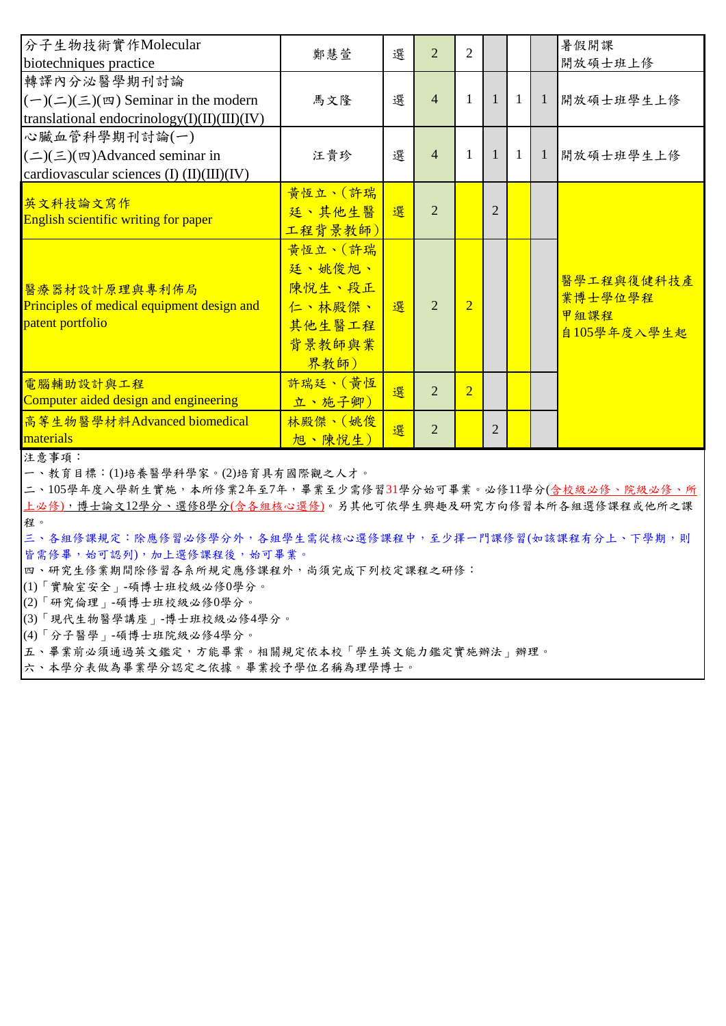| 分子生物技術實作Molecular<br>biotechniques practice                                                                      | 鄭慧萱                                                               | 選 | $\overline{2}$ | $\overline{2}$ |                |              |                | 暑假開課<br>開放碩士班上修                              |
|------------------------------------------------------------------------------------------------------------------|-------------------------------------------------------------------|---|----------------|----------------|----------------|--------------|----------------|----------------------------------------------|
| 轉譯內分泌醫學期刊討論<br>$(-)(\leq)(\leq)(\infty)$ Seminar in the modern<br>translational endocrinology $(I)(II)(III)(IV)$ | 馬文隆                                                               | 選 | $\overline{4}$ | $\mathbf{1}$   | $\mathbf{1}$   | -1           | -1             | 開放碩士班學生上修                                    |
| 心臟血管科學期刊討論(一)<br>$(\equiv)(\equiv)(\equiv)$ Advanced seminar in<br>cardiovascular sciences (I) (II)(III)(IV)     | 汪貴珍                                                               | 選 | $\overline{4}$ | $\mathbf{1}$   | $\mathbf{1}$   | <sup>1</sup> | $\overline{1}$ | 開放碩士班學生上修                                    |
| 英文科技論文寫作<br>English scientific writing for paper                                                                 | 黃恆立、(許瑞<br>廷、其他生醫<br>工程背景教師)                                      | 選 | $\overline{2}$ |                | $\overline{2}$ |              |                |                                              |
| 醫療器材設計原理與專利佈局<br>Principles of medical equipment design and<br>patent portfolio                                  | 黃恆立、(許瑞<br>廷、姚俊旭、<br>陳悅生、段正<br>仁、林殿傑、<br>其他生醫工程<br>背景教師與業<br>界教師) | 選 | $\overline{2}$ | $\overline{2}$ |                |              |                | 醫學工程與復健科技產<br>業博士學位學程<br>甲組課程<br>自105學年度入學生起 |
| 電腦輔助設計與工程<br>Computer aided design and engineering                                                               | 許瑞廷、(黃恆<br>立、施子卿)                                                 | 選 | $\overline{2}$ | $\overline{2}$ |                |              |                |                                              |
| 高等生物醫學材料Advanced biomedical<br>materials                                                                         | 林殿傑、(姚俊<br>旭、陳悅生)                                                 | 選 | $\overline{2}$ |                | $\overline{2}$ |              |                |                                              |

注意事項:

一、教育目標:(1)培養醫學科學家。(2)培育具有國際觀之人才。

二、105學年度入學新生實施,本所修業2年至7年,畢業至少需修習31學分始可畢業。必修11學分(含校級必修、院級必修、所 上必修),博士論文12學分、選修8學分(含各組核心選修)。另其他可依學生興趣及研究方向修習本所各組選修課程或他所之課 程。

三、各組修課規定:除應修習必修學分外,各組學生需從核心選修課程中,至少擇一門課修習(如該課程有分上、下學期,則 皆需修畢,始可認列),加上選修課程後,始可畢業。

四、研究生修業期間除修習各系所規定應修課程外,尚須完成下列校定課程之研修:

(1)「實驗室安全」-碩博士班校級必修0學分。

(2)「研究倫理」-碩博士班校級必修0學分。

(3)「現代生物醫學講座」-博士班校級必修4學分。

(4)「分子醫學」-碩博士班院級必修4學分。

五、畢業前必須通過英文鑑定,方能畢業。相關規定依本校「學生英文能力鑑定實施辦法」辦理。

六、本學分表做為畢業學分認定之依據。畢業授予學位名稱為理學博士。